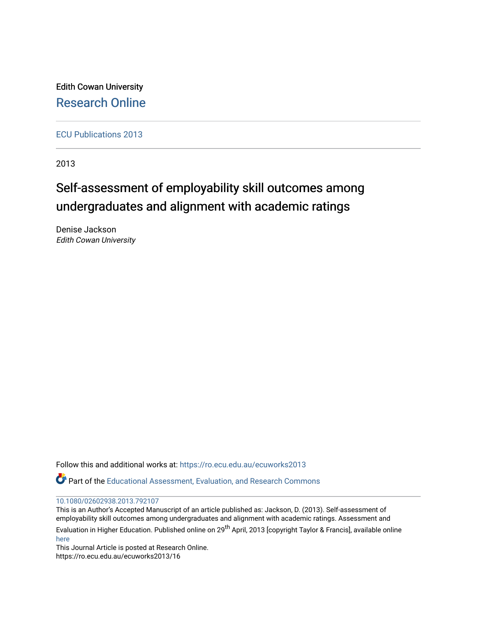Edith Cowan University [Research Online](https://ro.ecu.edu.au/) 

[ECU Publications 2013](https://ro.ecu.edu.au/ecuworks2013)

2013

# Self-assessment of employability skill outcomes among undergraduates and alignment with academic ratings

Denise Jackson Edith Cowan University

Follow this and additional works at: [https://ro.ecu.edu.au/ecuworks2013](https://ro.ecu.edu.au/ecuworks2013?utm_source=ro.ecu.edu.au%2Fecuworks2013%2F16&utm_medium=PDF&utm_campaign=PDFCoverPages) 

Part of the [Educational Assessment, Evaluation, and Research Commons](http://network.bepress.com/hgg/discipline/796?utm_source=ro.ecu.edu.au%2Fecuworks2013%2F16&utm_medium=PDF&utm_campaign=PDFCoverPages)

#### [10.1080/02602938.2013.792107](http://dx.doi.org/10.1080/02602938.2013.792107)

This is an Author's Accepted Manuscript of an article published as: Jackson, D. (2013). Self-assessment of employability skill outcomes among undergraduates and alignment with academic ratings. Assessment and

Evaluation in Higher Education. Published online on 29<sup>th</sup> April, 2013 [copyright Taylor & Francis], available online [here](http://www.tandfonline.com/doi/abs/10.1080/02602938.2013.792107)

This Journal Article is posted at Research Online. https://ro.ecu.edu.au/ecuworks2013/16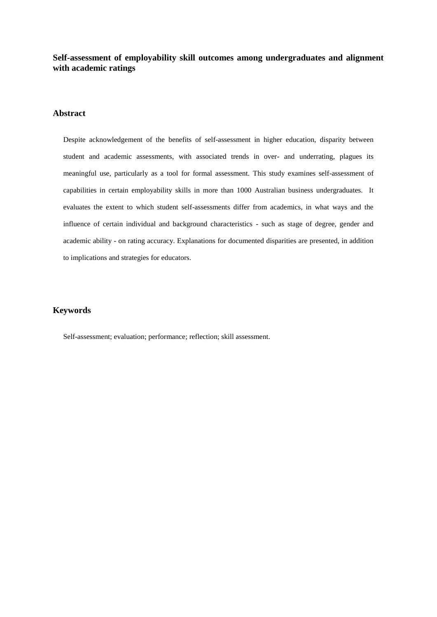**Self-assessment of employability skill outcomes among undergraduates and alignment with academic ratings**

#### **Abstract**

Despite acknowledgement of the benefits of self-assessment in higher education, disparity between student and academic assessments, with associated trends in over- and underrating, plagues its meaningful use, particularly as a tool for formal assessment. This study examines self-assessment of capabilities in certain employability skills in more than 1000 Australian business undergraduates. It evaluates the extent to which student self-assessments differ from academics, in what ways and the influence of certain individual and background characteristics - such as stage of degree, gender and academic ability - on rating accuracy. Explanations for documented disparities are presented, in addition to implications and strategies for educators.

#### **Keywords**

Self-assessment; evaluation; performance; reflection; skill assessment.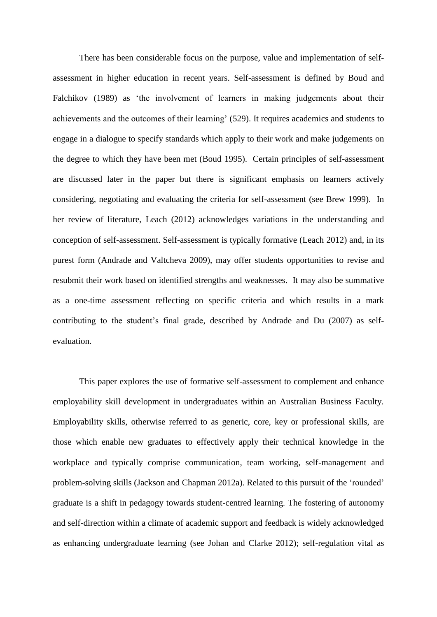There has been considerable focus on the purpose, value and implementation of selfassessment in higher education in recent years. Self-assessment is defined by Boud and Falchikov (1989) as 'the involvement of learners in making judgements about their achievements and the outcomes of their learning' (529). It requires academics and students to engage in a dialogue to specify standards which apply to their work and make judgements on the degree to which they have been met (Boud 1995). Certain principles of self-assessment are discussed later in the paper but there is significant emphasis on learners actively considering, negotiating and evaluating the criteria for self-assessment (see Brew 1999). In her review of literature, Leach (2012) acknowledges variations in the understanding and conception of self-assessment. Self-assessment is typically formative (Leach 2012) and, in its purest form (Andrade and Valtcheva 2009), may offer students opportunities to revise and resubmit their work based on identified strengths and weaknesses. It may also be summative as a one-time assessment reflecting on specific criteria and which results in a mark contributing to the student's final grade, described by Andrade and Du (2007) as selfevaluation.

This paper explores the use of formative self-assessment to complement and enhance employability skill development in undergraduates within an Australian Business Faculty. Employability skills, otherwise referred to as generic, core, key or professional skills, are those which enable new graduates to effectively apply their technical knowledge in the workplace and typically comprise communication, team working, self-management and problem-solving skills (Jackson and Chapman 2012a). Related to this pursuit of the 'rounded' graduate is a shift in pedagogy towards student-centred learning. The fostering of autonomy and self-direction within a climate of academic support and feedback is widely acknowledged as enhancing undergraduate learning (see Johan and Clarke 2012); self-regulation vital as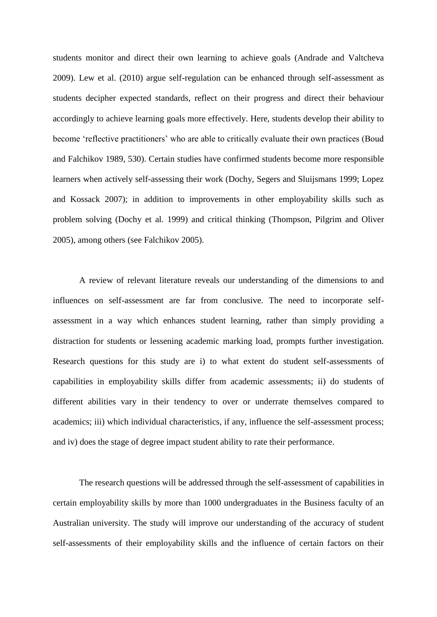students monitor and direct their own learning to achieve goals (Andrade and Valtcheva 2009). Lew et al. (2010) argue self-regulation can be enhanced through self-assessment as students decipher expected standards, reflect on their progress and direct their behaviour accordingly to achieve learning goals more effectively. Here, students develop their ability to become 'reflective practitioners' who are able to critically evaluate their own practices (Boud and Falchikov 1989, 530). Certain studies have confirmed students become more responsible learners when actively self-assessing their work (Dochy, Segers and Sluijsmans 1999; Lopez and Kossack 2007); in addition to improvements in other employability skills such as problem solving (Dochy et al. 1999) and critical thinking (Thompson, Pilgrim and Oliver 2005), among others (see Falchikov 2005).

A review of relevant literature reveals our understanding of the dimensions to and influences on self-assessment are far from conclusive. The need to incorporate selfassessment in a way which enhances student learning, rather than simply providing a distraction for students or lessening academic marking load, prompts further investigation. Research questions for this study are i) to what extent do student self-assessments of capabilities in employability skills differ from academic assessments; ii) do students of different abilities vary in their tendency to over or underrate themselves compared to academics; iii) which individual characteristics, if any, influence the self-assessment process; and iv) does the stage of degree impact student ability to rate their performance.

The research questions will be addressed through the self-assessment of capabilities in certain employability skills by more than 1000 undergraduates in the Business faculty of an Australian university. The study will improve our understanding of the accuracy of student self-assessments of their employability skills and the influence of certain factors on their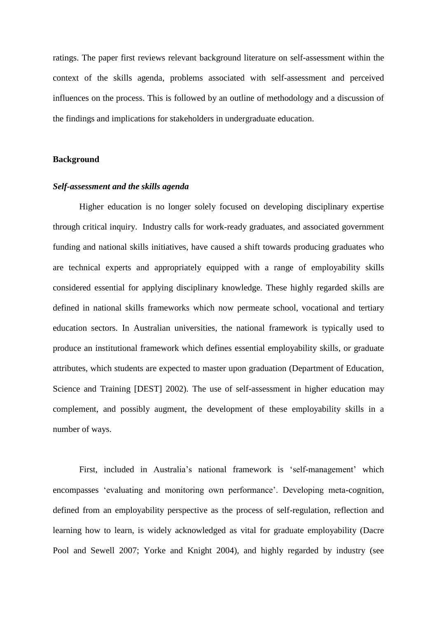ratings. The paper first reviews relevant background literature on self-assessment within the context of the skills agenda, problems associated with self-assessment and perceived influences on the process. This is followed by an outline of methodology and a discussion of the findings and implications for stakeholders in undergraduate education.

### **Background**

#### *Self-assessment and the skills agenda*

Higher education is no longer solely focused on developing disciplinary expertise through critical inquiry. Industry calls for work-ready graduates, and associated government funding and national skills initiatives, have caused a shift towards producing graduates who are technical experts and appropriately equipped with a range of employability skills considered essential for applying disciplinary knowledge. These highly regarded skills are defined in national skills frameworks which now permeate school, vocational and tertiary education sectors. In Australian universities, the national framework is typically used to produce an institutional framework which defines essential employability skills, or graduate attributes, which students are expected to master upon graduation (Department of Education, Science and Training [DEST] 2002). The use of self-assessment in higher education may complement, and possibly augment, the development of these employability skills in a number of ways.

First, included in Australia's national framework is 'self-management' which encompasses 'evaluating and monitoring own performance'. Developing meta-cognition, defined from an employability perspective as the process of self-regulation, reflection and learning how to learn, is widely acknowledged as vital for graduate employability (Dacre Pool and Sewell 2007; Yorke and Knight 2004), and highly regarded by industry (see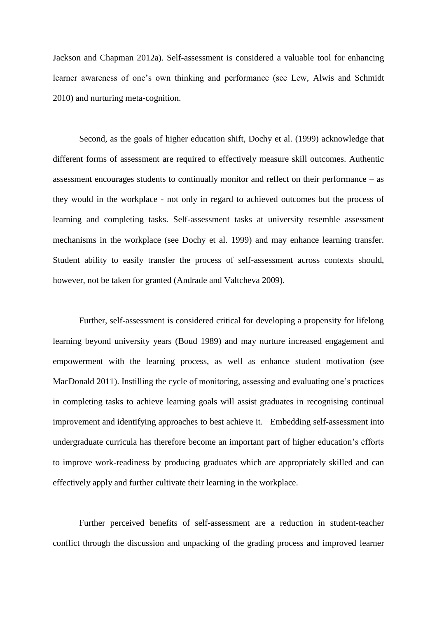Jackson and Chapman 2012a). Self-assessment is considered a valuable tool for enhancing learner awareness of one's own thinking and performance (see Lew, Alwis and Schmidt 2010) and nurturing meta-cognition.

Second, as the goals of higher education shift, Dochy et al. (1999) acknowledge that different forms of assessment are required to effectively measure skill outcomes. Authentic assessment encourages students to continually monitor and reflect on their performance – as they would in the workplace - not only in regard to achieved outcomes but the process of learning and completing tasks. Self-assessment tasks at university resemble assessment mechanisms in the workplace (see Dochy et al. 1999) and may enhance learning transfer. Student ability to easily transfer the process of self-assessment across contexts should, however, not be taken for granted (Andrade and Valtcheva 2009).

Further, self-assessment is considered critical for developing a propensity for lifelong learning beyond university years (Boud 1989) and may nurture increased engagement and empowerment with the learning process, as well as enhance student motivation (see MacDonald 2011). Instilling the cycle of monitoring, assessing and evaluating one's practices in completing tasks to achieve learning goals will assist graduates in recognising continual improvement and identifying approaches to best achieve it. Embedding self-assessment into undergraduate curricula has therefore become an important part of higher education's efforts to improve work-readiness by producing graduates which are appropriately skilled and can effectively apply and further cultivate their learning in the workplace.

Further perceived benefits of self-assessment are a reduction in student-teacher conflict through the discussion and unpacking of the grading process and improved learner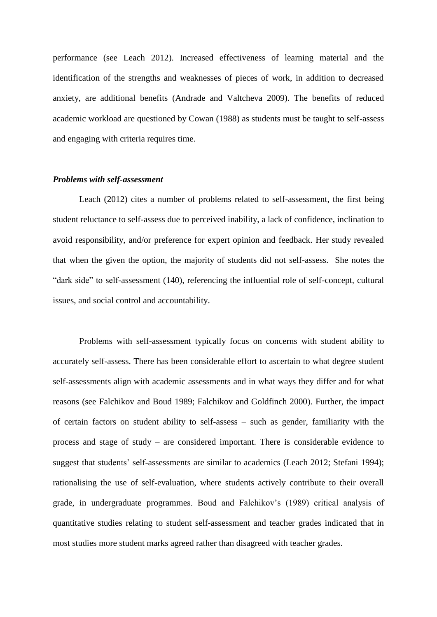performance (see Leach 2012). Increased effectiveness of learning material and the identification of the strengths and weaknesses of pieces of work, in addition to decreased anxiety, are additional benefits (Andrade and Valtcheva 2009). The benefits of reduced academic workload are questioned by Cowan (1988) as students must be taught to self-assess and engaging with criteria requires time.

#### *Problems with self-assessment*

Leach (2012) cites a number of problems related to self-assessment, the first being student reluctance to self-assess due to perceived inability, a lack of confidence, inclination to avoid responsibility, and/or preference for expert opinion and feedback. Her study revealed that when the given the option, the majority of students did not self-assess. She notes the "dark side" to self-assessment (140), referencing the influential role of self-concept, cultural issues, and social control and accountability.

Problems with self-assessment typically focus on concerns with student ability to accurately self-assess. There has been considerable effort to ascertain to what degree student self-assessments align with academic assessments and in what ways they differ and for what reasons (see Falchikov and Boud 1989; Falchikov and Goldfinch 2000). Further, the impact of certain factors on student ability to self-assess – such as gender, familiarity with the process and stage of study – are considered important. There is considerable evidence to suggest that students' self-assessments are similar to academics (Leach 2012; Stefani 1994); rationalising the use of self-evaluation, where students actively contribute to their overall grade, in undergraduate programmes. Boud and Falchikov's (1989) critical analysis of quantitative studies relating to student self-assessment and teacher grades indicated that in most studies more student marks agreed rather than disagreed with teacher grades.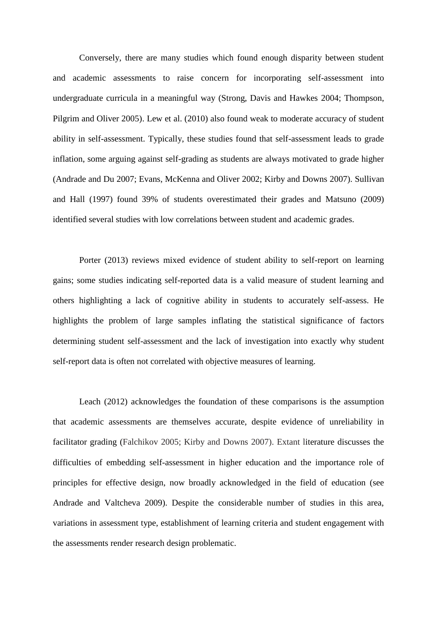Conversely, there are many studies which found enough disparity between student and academic assessments to raise concern for incorporating self-assessment into undergraduate curricula in a meaningful way (Strong, Davis and Hawkes 2004; Thompson, Pilgrim and Oliver 2005). Lew et al. (2010) also found weak to moderate accuracy of student ability in self-assessment. Typically, these studies found that self-assessment leads to grade inflation, some arguing against self-grading as students are always motivated to grade higher (Andrade and Du 2007; Evans, McKenna and Oliver 2002; Kirby and Downs 2007). Sullivan and Hall (1997) found 39% of students overestimated their grades and Matsuno (2009) identified several studies with low correlations between student and academic grades.

Porter (2013) reviews mixed evidence of student ability to self-report on learning gains; some studies indicating self-reported data is a valid measure of student learning and others highlighting a lack of cognitive ability in students to accurately self-assess. He highlights the problem of large samples inflating the statistical significance of factors determining student self-assessment and the lack of investigation into exactly why student self-report data is often not correlated with objective measures of learning.

Leach (2012) acknowledges the foundation of these comparisons is the assumption that academic assessments are themselves accurate, despite evidence of unreliability in facilitator grading (Falchikov 2005; Kirby and Downs 2007). Extant literature discusses the difficulties of embedding self-assessment in higher education and the importance role of principles for effective design, now broadly acknowledged in the field of education (see Andrade and Valtcheva 2009). Despite the considerable number of studies in this area, variations in assessment type, establishment of learning criteria and student engagement with the assessments render research design problematic.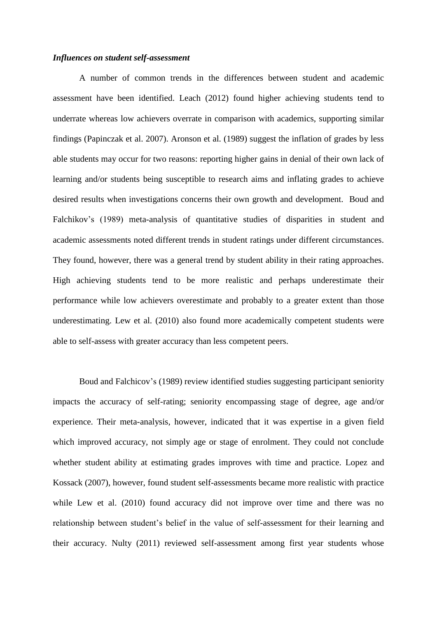#### *Influences on student self-assessment*

A number of common trends in the differences between student and academic assessment have been identified. Leach (2012) found higher achieving students tend to underrate whereas low achievers overrate in comparison with academics, supporting similar findings (Papinczak et al. 2007). Aronson et al. (1989) suggest the inflation of grades by less able students may occur for two reasons: reporting higher gains in denial of their own lack of learning and/or students being susceptible to research aims and inflating grades to achieve desired results when investigations concerns their own growth and development. Boud and Falchikov's (1989) meta-analysis of quantitative studies of disparities in student and academic assessments noted different trends in student ratings under different circumstances. They found, however, there was a general trend by student ability in their rating approaches. High achieving students tend to be more realistic and perhaps underestimate their performance while low achievers overestimate and probably to a greater extent than those underestimating. Lew et al. (2010) also found more academically competent students were able to self-assess with greater accuracy than less competent peers.

Boud and Falchicov's (1989) review identified studies suggesting participant seniority impacts the accuracy of self-rating; seniority encompassing stage of degree, age and/or experience. Their meta-analysis, however, indicated that it was expertise in a given field which improved accuracy, not simply age or stage of enrolment. They could not conclude whether student ability at estimating grades improves with time and practice. Lopez and Kossack (2007), however, found student self-assessments became more realistic with practice while Lew et al. (2010) found accuracy did not improve over time and there was no relationship between student's belief in the value of self-assessment for their learning and their accuracy. Nulty (2011) reviewed self-assessment among first year students whose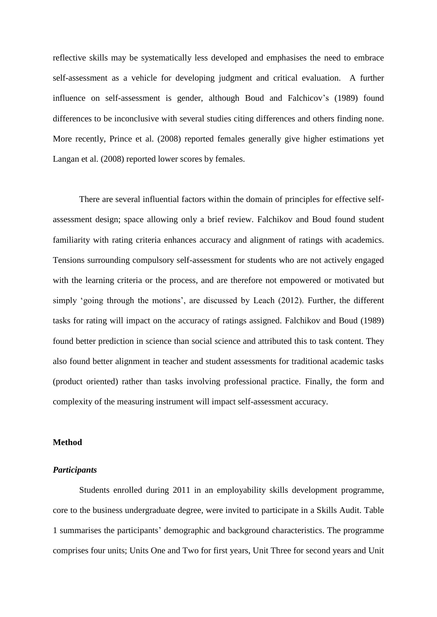reflective skills may be systematically less developed and emphasises the need to embrace self-assessment as a vehicle for developing judgment and critical evaluation. A further influence on self-assessment is gender, although Boud and Falchicov's (1989) found differences to be inconclusive with several studies citing differences and others finding none. More recently, Prince et al. (2008) reported females generally give higher estimations yet Langan et al. (2008) reported lower scores by females.

There are several influential factors within the domain of principles for effective selfassessment design; space allowing only a brief review. Falchikov and Boud found student familiarity with rating criteria enhances accuracy and alignment of ratings with academics. Tensions surrounding compulsory self-assessment for students who are not actively engaged with the learning criteria or the process, and are therefore not empowered or motivated but simply 'going through the motions', are discussed by Leach (2012). Further, the different tasks for rating will impact on the accuracy of ratings assigned. Falchikov and Boud (1989) found better prediction in science than social science and attributed this to task content. They also found better alignment in teacher and student assessments for traditional academic tasks (product oriented) rather than tasks involving professional practice. Finally, the form and complexity of the measuring instrument will impact self-assessment accuracy.

#### **Method**

#### *Participants*

Students enrolled during 2011 in an employability skills development programme, core to the business undergraduate degree, were invited to participate in a Skills Audit. Table 1 summarises the participants' demographic and background characteristics. The programme comprises four units; Units One and Two for first years, Unit Three for second years and Unit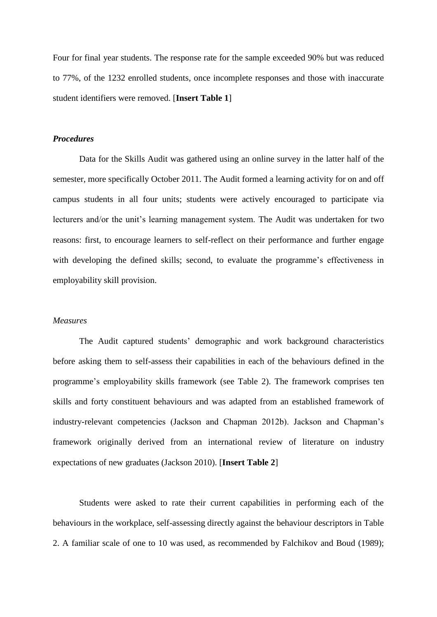Four for final year students. The response rate for the sample exceeded 90% but was reduced to 77%, of the 1232 enrolled students, once incomplete responses and those with inaccurate student identifiers were removed. [**Insert Table 1**]

#### *Procedures*

Data for the Skills Audit was gathered using an online survey in the latter half of the semester, more specifically October 2011. The Audit formed a learning activity for on and off campus students in all four units; students were actively encouraged to participate via lecturers and/or the unit's learning management system. The Audit was undertaken for two reasons: first, to encourage learners to self-reflect on their performance and further engage with developing the defined skills; second, to evaluate the programme's effectiveness in employability skill provision.

#### *Measures*

The Audit captured students' demographic and work background characteristics before asking them to self-assess their capabilities in each of the behaviours defined in the programme's employability skills framework (see Table 2). The framework comprises ten skills and forty constituent behaviours and was adapted from an established framework of industry-relevant competencies (Jackson and Chapman 2012b). Jackson and Chapman's framework originally derived from an international review of literature on industry expectations of new graduates (Jackson 2010). [**Insert Table 2**]

Students were asked to rate their current capabilities in performing each of the behaviours in the workplace, self-assessing directly against the behaviour descriptors in Table 2. A familiar scale of one to 10 was used, as recommended by Falchikov and Boud (1989);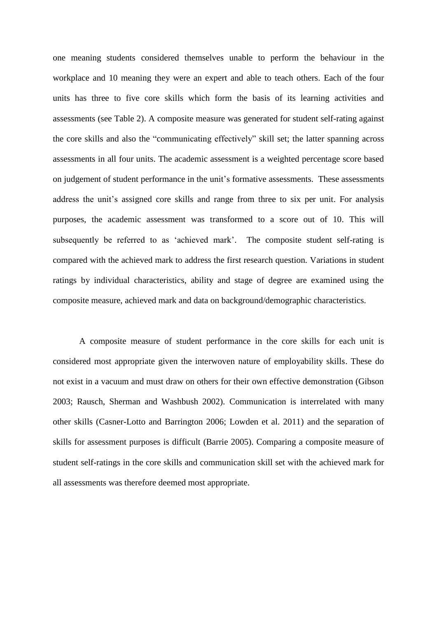one meaning students considered themselves unable to perform the behaviour in the workplace and 10 meaning they were an expert and able to teach others. Each of the four units has three to five core skills which form the basis of its learning activities and assessments (see Table 2). A composite measure was generated for student self-rating against the core skills and also the "communicating effectively" skill set; the latter spanning across assessments in all four units. The academic assessment is a weighted percentage score based on judgement of student performance in the unit's formative assessments. These assessments address the unit's assigned core skills and range from three to six per unit. For analysis purposes, the academic assessment was transformed to a score out of 10. This will subsequently be referred to as 'achieved mark'. The composite student self-rating is compared with the achieved mark to address the first research question. Variations in student ratings by individual characteristics, ability and stage of degree are examined using the composite measure, achieved mark and data on background/demographic characteristics.

A composite measure of student performance in the core skills for each unit is considered most appropriate given the interwoven nature of employability skills. These do not exist in a vacuum and must draw on others for their own effective demonstration (Gibson 2003; Rausch, Sherman and Washbush 2002). Communication is interrelated with many other skills (Casner-Lotto and Barrington 2006; Lowden et al. 2011) and the separation of skills for assessment purposes is difficult (Barrie 2005). Comparing a composite measure of student self-ratings in the core skills and communication skill set with the achieved mark for all assessments was therefore deemed most appropriate.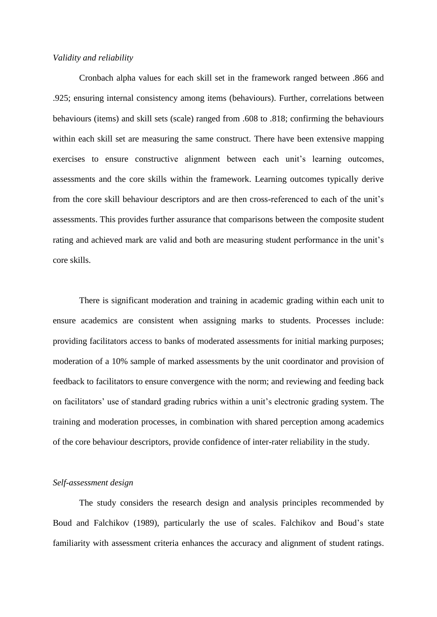#### *Validity and reliability*

Cronbach alpha values for each skill set in the framework ranged between .866 and .925; ensuring internal consistency among items (behaviours). Further, correlations between behaviours (items) and skill sets (scale) ranged from .608 to .818; confirming the behaviours within each skill set are measuring the same construct. There have been extensive mapping exercises to ensure constructive alignment between each unit's learning outcomes, assessments and the core skills within the framework. Learning outcomes typically derive from the core skill behaviour descriptors and are then cross-referenced to each of the unit's assessments. This provides further assurance that comparisons between the composite student rating and achieved mark are valid and both are measuring student performance in the unit's core skills.

There is significant moderation and training in academic grading within each unit to ensure academics are consistent when assigning marks to students. Processes include: providing facilitators access to banks of moderated assessments for initial marking purposes; moderation of a 10% sample of marked assessments by the unit coordinator and provision of feedback to facilitators to ensure convergence with the norm; and reviewing and feeding back on facilitators' use of standard grading rubrics within a unit's electronic grading system. The training and moderation processes, in combination with shared perception among academics of the core behaviour descriptors, provide confidence of inter-rater reliability in the study.

#### *Self-assessment design*

The study considers the research design and analysis principles recommended by Boud and Falchikov (1989), particularly the use of scales. Falchikov and Boud's state familiarity with assessment criteria enhances the accuracy and alignment of student ratings.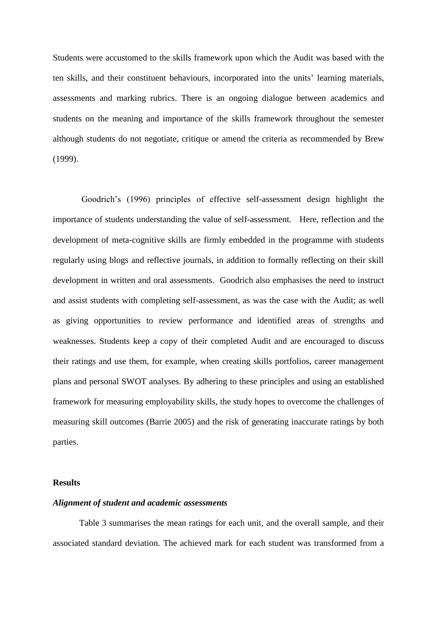Students were accustomed to the skills framework upon which the Audit was based with the ten skills, and their constituent behaviours, incorporated into the units' learning materials, assessments and marking rubrics. There is an ongoing dialogue between academics and students on the meaning and importance of the skills framework throughout the semester although students do not negotiate, critique or amend the criteria as recommended by Brew (1999).

Goodrich's (1996) principles of effective self-assessment design highlight the importance of students understanding the value of self-assessment. Here, reflection and the development of meta-cognitive skills are firmly embedded in the programme with students regularly using blogs and reflective journals, in addition to formally reflecting on their skill development in written and oral assessments. Goodrich also emphasises the need to instruct and assist students with completing self-assessment, as was the case with the Audit; as well as giving opportunities to review performance and identified areas of strengths and weaknesses. Students keep a copy of their completed Audit and are encouraged to discuss their ratings and use them, for example, when creating skills portfolios, career management plans and personal SWOT analyses. By adhering to these principles and using an established framework for measuring employability skills, the study hopes to overcome the challenges of measuring skill outcomes (Barrie 2005) and the risk of generating inaccurate ratings by both parties.

#### **Results**

#### *Alignment of student and academic assessments*

Table 3 summarises the mean ratings for each unit, and the overall sample, and their associated standard deviation. The achieved mark for each student was transformed from a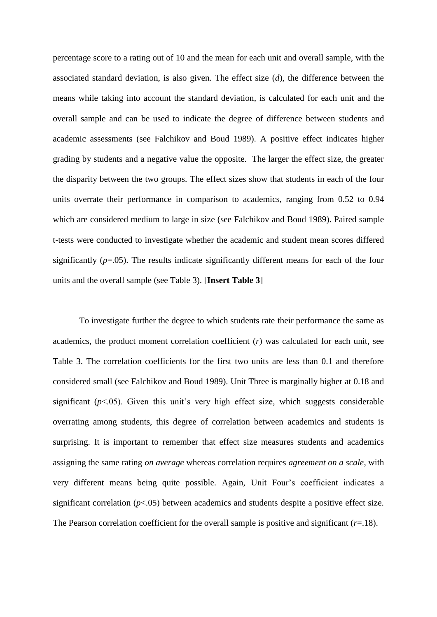percentage score to a rating out of 10 and the mean for each unit and overall sample, with the associated standard deviation, is also given. The effect size (*d*), the difference between the means while taking into account the standard deviation, is calculated for each unit and the overall sample and can be used to indicate the degree of difference between students and academic assessments (see Falchikov and Boud 1989). A positive effect indicates higher grading by students and a negative value the opposite. The larger the effect size, the greater the disparity between the two groups. The effect sizes show that students in each of the four units overrate their performance in comparison to academics, ranging from 0.52 to 0.94 which are considered medium to large in size (see Falchikov and Boud 1989). Paired sample t-tests were conducted to investigate whether the academic and student mean scores differed significantly (*p*=.05). The results indicate significantly different means for each of the four units and the overall sample (see Table 3). [**Insert Table 3**]

To investigate further the degree to which students rate their performance the same as academics, the product moment correlation coefficient (*r*) was calculated for each unit, see Table 3. The correlation coefficients for the first two units are less than 0.1 and therefore considered small (see Falchikov and Boud 1989). Unit Three is marginally higher at 0.18 and significant  $(p<0.05)$ . Given this unit's very high effect size, which suggests considerable overrating among students, this degree of correlation between academics and students is surprising. It is important to remember that effect size measures students and academics assigning the same rating *on average* whereas correlation requires *agreement on a scale*, with very different means being quite possible. Again, Unit Four's coefficient indicates a significant correlation  $(p<.05)$  between academics and students despite a positive effect size. The Pearson correlation coefficient for the overall sample is positive and significant  $(r=18)$ .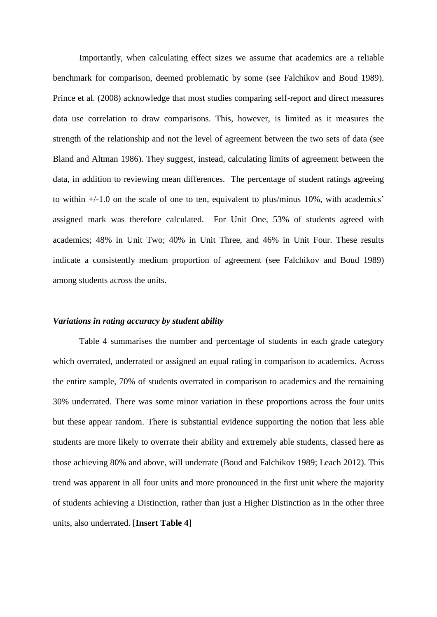Importantly, when calculating effect sizes we assume that academics are a reliable benchmark for comparison, deemed problematic by some (see Falchikov and Boud 1989). Prince et al. (2008) acknowledge that most studies comparing self-report and direct measures data use correlation to draw comparisons. This, however, is limited as it measures the strength of the relationship and not the level of agreement between the two sets of data (see Bland and Altman 1986). They suggest, instead, calculating limits of agreement between the data, in addition to reviewing mean differences. The percentage of student ratings agreeing to within +/-1.0 on the scale of one to ten, equivalent to plus/minus 10%, with academics' assigned mark was therefore calculated. For Unit One, 53% of students agreed with academics; 48% in Unit Two; 40% in Unit Three, and 46% in Unit Four. These results indicate a consistently medium proportion of agreement (see Falchikov and Boud 1989) among students across the units.

#### *Variations in rating accuracy by student ability*

Table 4 summarises the number and percentage of students in each grade category which overrated, underrated or assigned an equal rating in comparison to academics. Across the entire sample, 70% of students overrated in comparison to academics and the remaining 30% underrated. There was some minor variation in these proportions across the four units but these appear random. There is substantial evidence supporting the notion that less able students are more likely to overrate their ability and extremely able students, classed here as those achieving 80% and above, will underrate (Boud and Falchikov 1989; Leach 2012). This trend was apparent in all four units and more pronounced in the first unit where the majority of students achieving a Distinction, rather than just a Higher Distinction as in the other three units, also underrated. [**Insert Table 4**]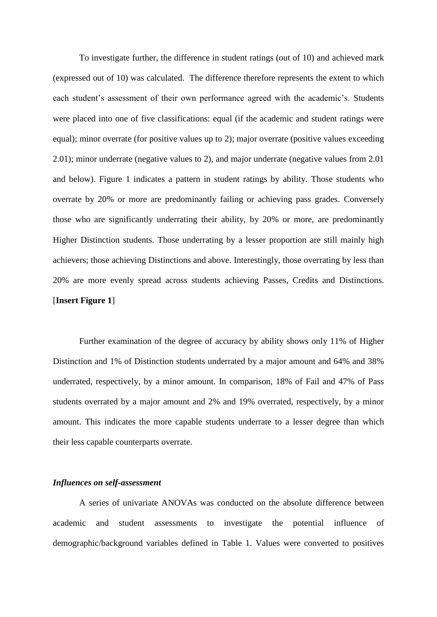To investigate further, the difference in student ratings (out of 10) and achieved mark (expressed out of 10) was calculated. The difference therefore represents the extent to which each student's assessment of their own performance agreed with the academic's. Students were placed into one of five classifications: equal (if the academic and student ratings were equal); minor overrate (for positive values up to 2); major overrate (positive values exceeding 2.01); minor underrate (negative values to 2), and major underrate (negative values from 2.01 and below). Figure 1 indicates a pattern in student ratings by ability. Those students who overrate by 20% or more are predominantly failing or achieving pass grades. Conversely those who are significantly underrating their ability, by 20% or more, are predominantly Higher Distinction students. Those underrating by a lesser proportion are still mainly high achievers; those achieving Distinctions and above. Interestingly, those overrating by less than 20% are more evenly spread across students achieving Passes, Credits and Distinctions. [**Insert Figure 1**]

Further examination of the degree of accuracy by ability shows only 11% of Higher Distinction and 1% of Distinction students underrated by a major amount and 64% and 38% underrated, respectively, by a minor amount. In comparison, 18% of Fail and 47% of Pass students overrated by a major amount and 2% and 19% overrated, respectively, by a minor amount. This indicates the more capable students underrate to a lesser degree than which their less capable counterparts overrate.

#### *Influences on self-assessment*

A series of univariate ANOVAs was conducted on the absolute difference between academic and student assessments to investigate the potential influence of demographic/background variables defined in Table 1. Values were converted to positives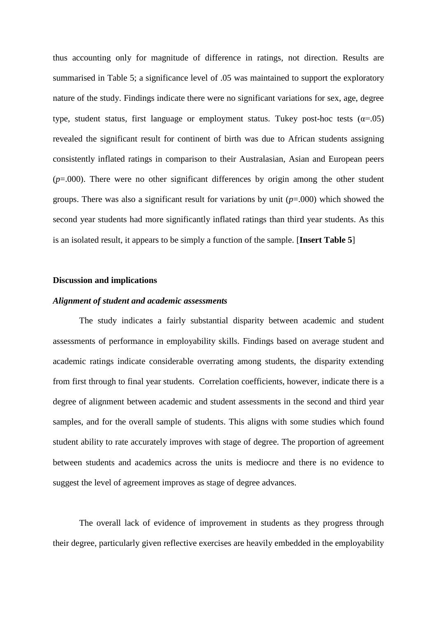thus accounting only for magnitude of difference in ratings, not direction. Results are summarised in Table 5; a significance level of .05 was maintained to support the exploratory nature of the study. Findings indicate there were no significant variations for sex, age, degree type, student status, first language or employment status. Tukey post-hoc tests ( $\alpha$ =.05) revealed the significant result for continent of birth was due to African students assigning consistently inflated ratings in comparison to their Australasian, Asian and European peers (*p*=.000). There were no other significant differences by origin among the other student groups. There was also a significant result for variations by unit (*p*=.000) which showed the second year students had more significantly inflated ratings than third year students. As this is an isolated result, it appears to be simply a function of the sample. [**Insert Table 5**]

#### **Discussion and implications**

#### *Alignment of student and academic assessments*

The study indicates a fairly substantial disparity between academic and student assessments of performance in employability skills. Findings based on average student and academic ratings indicate considerable overrating among students, the disparity extending from first through to final year students. Correlation coefficients, however, indicate there is a degree of alignment between academic and student assessments in the second and third year samples, and for the overall sample of students. This aligns with some studies which found student ability to rate accurately improves with stage of degree. The proportion of agreement between students and academics across the units is mediocre and there is no evidence to suggest the level of agreement improves as stage of degree advances.

The overall lack of evidence of improvement in students as they progress through their degree, particularly given reflective exercises are heavily embedded in the employability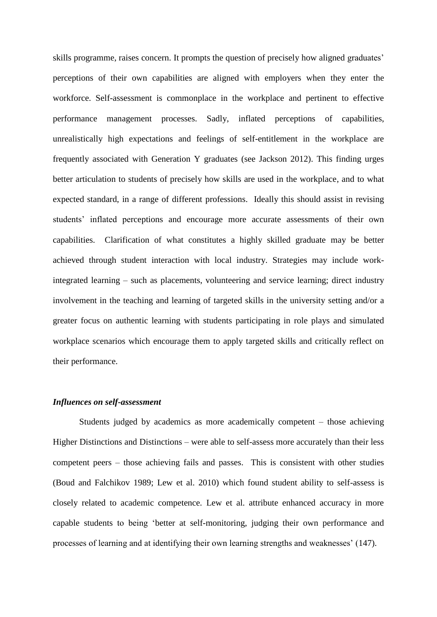skills programme, raises concern. It prompts the question of precisely how aligned graduates' perceptions of their own capabilities are aligned with employers when they enter the workforce. Self-assessment is commonplace in the workplace and pertinent to effective performance management processes. Sadly, inflated perceptions of capabilities, unrealistically high expectations and feelings of self-entitlement in the workplace are frequently associated with Generation Y graduates (see Jackson 2012). This finding urges better articulation to students of precisely how skills are used in the workplace, and to what expected standard, in a range of different professions. Ideally this should assist in revising students' inflated perceptions and encourage more accurate assessments of their own capabilities. Clarification of what constitutes a highly skilled graduate may be better achieved through student interaction with local industry. Strategies may include workintegrated learning – such as placements, volunteering and service learning; direct industry involvement in the teaching and learning of targeted skills in the university setting and/or a greater focus on authentic learning with students participating in role plays and simulated workplace scenarios which encourage them to apply targeted skills and critically reflect on their performance.

#### *Influences on self-assessment*

Students judged by academics as more academically competent – those achieving Higher Distinctions and Distinctions – were able to self-assess more accurately than their less competent peers – those achieving fails and passes. This is consistent with other studies (Boud and Falchikov 1989; Lew et al. 2010) which found student ability to self-assess is closely related to academic competence. Lew et al. attribute enhanced accuracy in more capable students to being 'better at self-monitoring, judging their own performance and processes of learning and at identifying their own learning strengths and weaknesses' (147).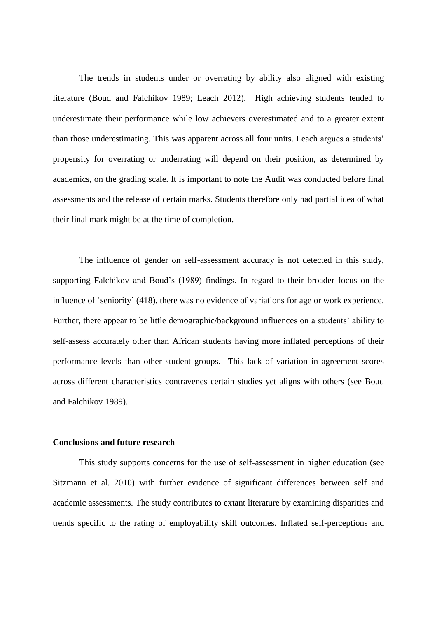The trends in students under or overrating by ability also aligned with existing literature (Boud and Falchikov 1989; Leach 2012). High achieving students tended to underestimate their performance while low achievers overestimated and to a greater extent than those underestimating. This was apparent across all four units. Leach argues a students' propensity for overrating or underrating will depend on their position, as determined by academics, on the grading scale. It is important to note the Audit was conducted before final assessments and the release of certain marks. Students therefore only had partial idea of what their final mark might be at the time of completion.

The influence of gender on self-assessment accuracy is not detected in this study, supporting Falchikov and Boud's (1989) findings. In regard to their broader focus on the influence of 'seniority' (418), there was no evidence of variations for age or work experience. Further, there appear to be little demographic/background influences on a students' ability to self-assess accurately other than African students having more inflated perceptions of their performance levels than other student groups. This lack of variation in agreement scores across different characteristics contravenes certain studies yet aligns with others (see Boud and Falchikov 1989).

#### **Conclusions and future research**

This study supports concerns for the use of self-assessment in higher education (see Sitzmann et al. 2010) with further evidence of significant differences between self and academic assessments. The study contributes to extant literature by examining disparities and trends specific to the rating of employability skill outcomes. Inflated self-perceptions and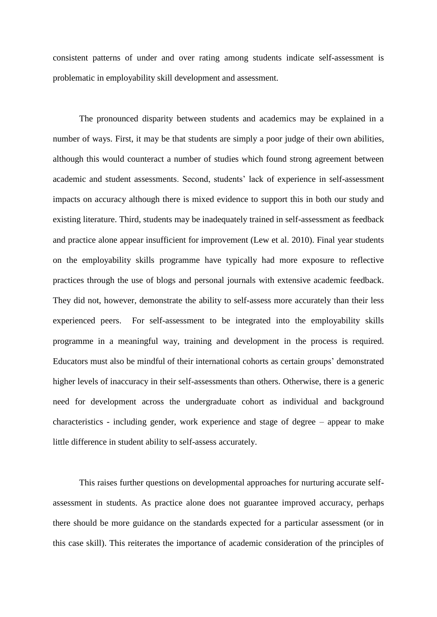consistent patterns of under and over rating among students indicate self-assessment is problematic in employability skill development and assessment.

The pronounced disparity between students and academics may be explained in a number of ways. First, it may be that students are simply a poor judge of their own abilities, although this would counteract a number of studies which found strong agreement between academic and student assessments. Second, students' lack of experience in self-assessment impacts on accuracy although there is mixed evidence to support this in both our study and existing literature. Third, students may be inadequately trained in self-assessment as feedback and practice alone appear insufficient for improvement (Lew et al. 2010). Final year students on the employability skills programme have typically had more exposure to reflective practices through the use of blogs and personal journals with extensive academic feedback. They did not, however, demonstrate the ability to self-assess more accurately than their less experienced peers. For self-assessment to be integrated into the employability skills programme in a meaningful way, training and development in the process is required. Educators must also be mindful of their international cohorts as certain groups' demonstrated higher levels of inaccuracy in their self-assessments than others. Otherwise, there is a generic need for development across the undergraduate cohort as individual and background characteristics - including gender, work experience and stage of degree – appear to make little difference in student ability to self-assess accurately.

This raises further questions on developmental approaches for nurturing accurate selfassessment in students. As practice alone does not guarantee improved accuracy, perhaps there should be more guidance on the standards expected for a particular assessment (or in this case skill). This reiterates the importance of academic consideration of the principles of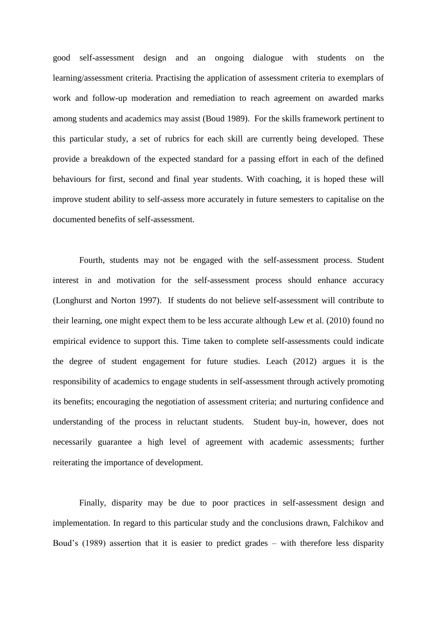good self-assessment design and an ongoing dialogue with students on the learning/assessment criteria. Practising the application of assessment criteria to exemplars of work and follow-up moderation and remediation to reach agreement on awarded marks among students and academics may assist (Boud 1989). For the skills framework pertinent to this particular study, a set of rubrics for each skill are currently being developed. These provide a breakdown of the expected standard for a passing effort in each of the defined behaviours for first, second and final year students. With coaching, it is hoped these will improve student ability to self-assess more accurately in future semesters to capitalise on the documented benefits of self-assessment.

Fourth, students may not be engaged with the self-assessment process. Student interest in and motivation for the self-assessment process should enhance accuracy (Longhurst and Norton 1997). If students do not believe self-assessment will contribute to their learning, one might expect them to be less accurate although Lew et al. (2010) found no empirical evidence to support this. Time taken to complete self-assessments could indicate the degree of student engagement for future studies. Leach (2012) argues it is the responsibility of academics to engage students in self-assessment through actively promoting its benefits; encouraging the negotiation of assessment criteria; and nurturing confidence and understanding of the process in reluctant students. Student buy-in, however, does not necessarily guarantee a high level of agreement with academic assessments; further reiterating the importance of development.

Finally, disparity may be due to poor practices in self-assessment design and implementation. In regard to this particular study and the conclusions drawn, Falchikov and Boud's (1989) assertion that it is easier to predict grades – with therefore less disparity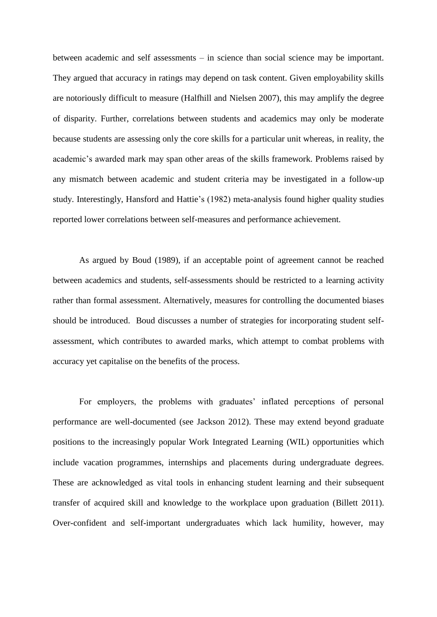between academic and self assessments – in science than social science may be important. They argued that accuracy in ratings may depend on task content. Given employability skills are notoriously difficult to measure (Halfhill and Nielsen 2007), this may amplify the degree of disparity. Further, correlations between students and academics may only be moderate because students are assessing only the core skills for a particular unit whereas, in reality, the academic's awarded mark may span other areas of the skills framework. Problems raised by any mismatch between academic and student criteria may be investigated in a follow-up study. Interestingly, Hansford and Hattie's (1982) meta-analysis found higher quality studies reported lower correlations between self-measures and performance achievement.

As argued by Boud (1989), if an acceptable point of agreement cannot be reached between academics and students, self-assessments should be restricted to a learning activity rather than formal assessment. Alternatively, measures for controlling the documented biases should be introduced. Boud discusses a number of strategies for incorporating student selfassessment, which contributes to awarded marks, which attempt to combat problems with accuracy yet capitalise on the benefits of the process.

For employers, the problems with graduates' inflated perceptions of personal performance are well-documented (see Jackson 2012). These may extend beyond graduate positions to the increasingly popular Work Integrated Learning (WIL) opportunities which include vacation programmes, internships and placements during undergraduate degrees. These are acknowledged as vital tools in enhancing student learning and their subsequent transfer of acquired skill and knowledge to the workplace upon graduation (Billett 2011). Over-confident and self-important undergraduates which lack humility, however, may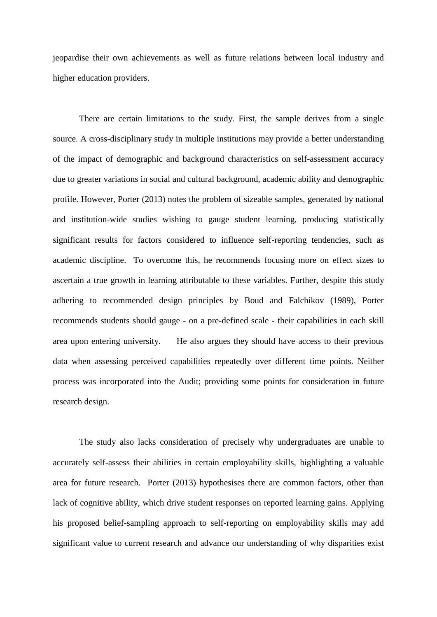jeopardise their own achievements as well as future relations between local industry and higher education providers.

There are certain limitations to the study. First, the sample derives from a single source. A cross-disciplinary study in multiple institutions may provide a better understanding of the impact of demographic and background characteristics on self-assessment accuracy due to greater variations in social and cultural background, academic ability and demographic profile. However, Porter (2013) notes the problem of sizeable samples, generated by national and institution-wide studies wishing to gauge student learning, producing statistically significant results for factors considered to influence self-reporting tendencies, such as academic discipline. To overcome this, he recommends focusing more on effect sizes to ascertain a true growth in learning attributable to these variables. Further, despite this study adhering to recommended design principles by Boud and Falchikov (1989), Porter recommends students should gauge - on a pre-defined scale - their capabilities in each skill area upon entering university. He also argues they should have access to their previous data when assessing perceived capabilities repeatedly over different time points. Neither process was incorporated into the Audit; providing some points for consideration in future research design.

The study also lacks consideration of precisely why undergraduates are unable to accurately self-assess their abilities in certain employability skills, highlighting a valuable area for future research. Porter (2013) hypothesises there are common factors, other than lack of cognitive ability, which drive student responses on reported learning gains. Applying his proposed belief-sampling approach to self-reporting on employability skills may add significant value to current research and advance our understanding of why disparities exist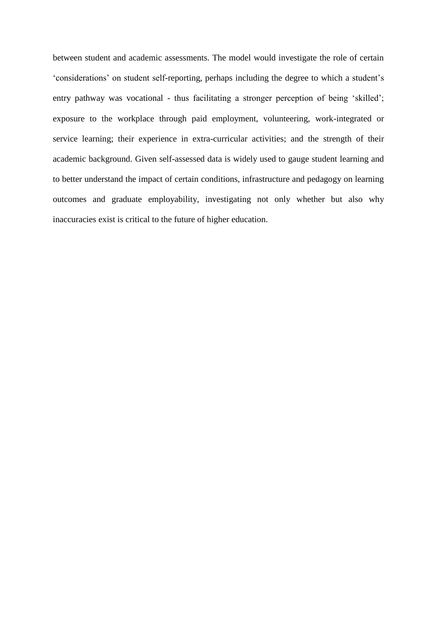between student and academic assessments. The model would investigate the role of certain 'considerations' on student self-reporting, perhaps including the degree to which a student's entry pathway was vocational - thus facilitating a stronger perception of being 'skilled'; exposure to the workplace through paid employment, volunteering, work-integrated or service learning; their experience in extra-curricular activities; and the strength of their academic background. Given self-assessed data is widely used to gauge student learning and to better understand the impact of certain conditions, infrastructure and pedagogy on learning outcomes and graduate employability, investigating not only whether but also why inaccuracies exist is critical to the future of higher education.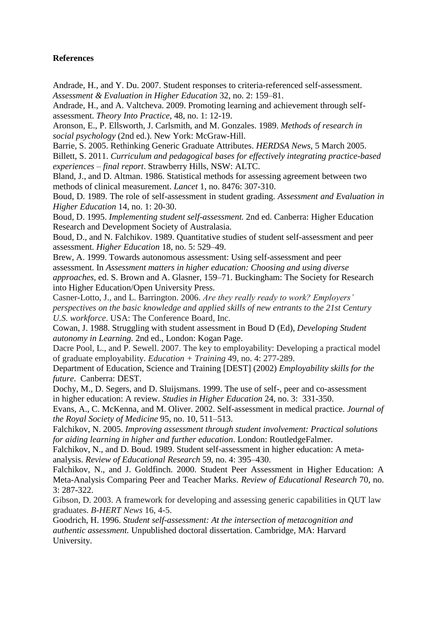### **References**

Andrade, H., and Y. Du. 2007. Student responses to criteria-referenced self-assessment. *Assessment & Evaluation in Higher Education* 32, no. 2: 159–81.

Andrade, H., and A. Valtcheva. 2009. Promoting learning and achievement through selfassessment. *Theory Into Practice*, 48, no. 1: 12-19.

Aronson, E., P. Ellsworth, J. Carlsmith, and M. Gonzales. 1989. *Methods of research in social psychology* (2nd ed.). New York: McGraw-Hill.

Barrie, S. 2005. Rethinking Generic Graduate Attributes. *HERDSA News*, 5 March 2005.

Billett, S. 2011. *Curriculum and pedagogical bases for effectively integrating practice-based experiences – final report*. Strawberry Hills, NSW: ALTC.

Bland, J., and D. Altman. 1986. Statistical methods for assessing agreement between two methods of clinical measurement. *Lancet* 1, no. 8476: 307-310.

Boud, D. 1989. The role of self-assessment in student grading. *Assessment and Evaluation in Higher Education* 14, no. 1: 20-30.

Boud, D. 1995. *Implementing student self-assessment.* 2nd ed. Canberra: Higher Education Research and Development Society of Australasia.

Boud, D., and N. Falchikov. 1989. Quantitative studies of student self-assessment and peer assessment. *Higher Education* 18, no. 5: 529–49.

Brew, A. 1999. Towards autonomous assessment: Using self-assessment and peer assessment. In *Assessment matters in higher education: Choosing and using diverse approaches*, ed. S. Brown and A. Glasner, 159–71. Buckingham: The Society for Research into Higher Education/Open University Press.

Casner-Lotto, J., and L. Barrington. 2006. *Are they really ready to work? Employers' perspectives on the basic knowledge and applied skills of new entrants to the 21st Century U.S. workforce*. USA: The Conference Board, Inc.

Cowan, J. 1988. Struggling with student assessment in Boud D (Ed), *Developing Student autonomy in Learning.* 2nd ed., London: Kogan Page.

Dacre Pool, L., and P. Sewell. 2007. The key to employability: Developing a practical model of graduate employability. *Education + Training* 49, no. 4: 277-289.

Department of Education, Science and Training [DEST] (2002) *Employability skills for the future*. Canberra: DEST.

Dochy, M., D. Segers, and D. Sluijsmans. 1999. The use of self-, peer and co-assessment in higher education: A review. *Studies in Higher Education* 24, no. 3: 331-350.

Evans, A., C. McKenna, and M. Oliver. 2002. Self-assessment in medical practice. *Journal of the Royal Society of Medicine* 95, no. 10, 511–513.

Falchikov, N. 2005. *Improving assessment through student involvement: Practical solutions for aiding learning in higher and further education*. London: RoutledgeFalmer.

Falchikov, N., and D. Boud. 1989. Student self-assessment in higher education: A metaanalysis. *Review of Educational Research* 59, no. 4: 395–430.

Falchikov, N., and J. Goldfinch. 2000. Student Peer Assessment in Higher Education: A Meta-Analysis Comparing Peer and Teacher Marks. *Review of Educational Research* 70, no. 3: 287-322.

Gibson, D. 2003. A framework for developing and assessing generic capabilities in QUT law graduates. *B-HERT News* 16, 4-5.

Goodrich, H. 1996. *Student self-assessment: At the intersection of metacognition and authentic assessment.* Unpublished doctoral dissertation. Cambridge, MA: Harvard University.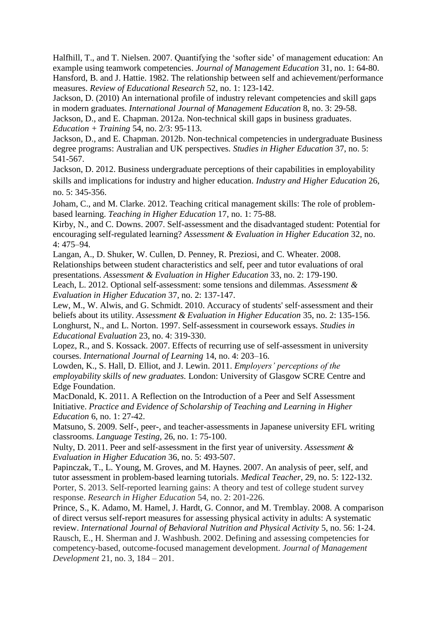Halfhill, T., and T. Nielsen. 2007. Quantifying the 'softer side' of management education: An example using teamwork competencies. *Journal of Management Education* 31, no. 1: 64-80. Hansford, B. and J. Hattie. 1982. The relationship between self and achievement/performance measures. *Review of Educational Research* 52, no. 1: 123-142.

Jackson, D. (2010) An international profile of industry relevant competencies and skill gaps in modern graduates. *International Journal of Management Education* 8, no. 3: 29-58. Jackson, D., and E. Chapman. 2012a. Non-technical skill gaps in business graduates.

*Education + Training* 54, no. 2/3: 95-113.

Jackson, D., and E. Chapman. 2012b. Non-technical competencies in undergraduate Business degree programs: Australian and UK perspectives. *Studies in Higher Education* 37, no. 5: 541-567.

Jackson, D. 2012. Business undergraduate perceptions of their capabilities in employability skills and implications for industry and higher education. *Industry and Higher Education* 26, no. 5: 345-356.

Joham, C., and M. Clarke. 2012. Teaching critical management skills: The role of problembased learning. *Teaching in Higher Education* 17, no. 1: 75-88.

Kirby, N., and C. Downs. 2007. Self-assessment and the disadvantaged student: Potential for encouraging self-regulated learning? *Assessment & Evaluation in Higher Education* 32, no. 4: 475–94.

Langan, A., D. Shuker, W. Cullen, D. Penney, R. Preziosi, and C. Wheater. 2008. Relationships between student characteristics and self, peer and tutor evaluations of oral presentations. *Assessment & Evaluation in Higher Education* 33, no. 2: 179-190.

Leach, L. 2012. Optional self-assessment: some tensions and dilemmas. *Assessment & Evaluation in Higher Education* 37, no. 2: 137-147.

Lew, M., W. Alwis, and G. Schmidt. 2010. Accuracy of students' self‐assessment and their beliefs about its utility. *Assessment & Evaluation in Higher Education* 35, no. 2: 135-156. Longhurst, N., and L. Norton. 1997. Self-assessment in coursework essays. *Studies in Educational Evaluation* 23, no. 4: 319-330.

Lopez, R., and S. Kossack. 2007. Effects of recurring use of self-assessment in university courses. *International Journal of Learning* 14, no. 4: 203–16.

Lowden, K., S. Hall, D. Elliot, and J. Lewin. 2011. *Employers' perceptions of the employability skills of new graduates.* London: University of Glasgow SCRE Centre and Edge Foundation.

MacDonald, K. 2011. A Reflection on the Introduction of a Peer and Self Assessment Initiative. *Practice and Evidence of Scholarship of Teaching and Learning in Higher Education* 6, no. 1: 27-42.

Matsuno, S. 2009. Self-, peer-, and teacher-assessments in Japanese university EFL writing classrooms. *Language Testing*, 26, no. 1: 75-100.

Nulty, D. 2011. Peer and self‐assessment in the first year of university. *Assessment & Evaluation in Higher Education* 36, no. 5: 493-507.

Papinczak, T., L. Young, M. Groves, and M. Haynes. 2007. An analysis of peer, self, and tutor assessment in problem-based learning tutorials. *Medical Teacher,* 29, no. 5: 122-132. Porter, S. 2013. Self-reported learning gains: A theory and test of college student survey response. *Research in Higher Education* 54, no. 2: 201-226.

Prince, S., K. Adamo, M. Hamel, J. Hardt, G. Connor, and M. Tremblay. 2008. A comparison of direct versus self-report measures for assessing physical activity in adults: A systematic review. *International Journal of Behavioral Nutrition and Physical Activity* 5, no. 56: 1-24. Rausch, E., H. Sherman and J. Washbush. 2002. Defining and assessing competencies for competency-based, outcome-focused management development. *Journal of Management Development* 21, no. 3, 184 – 201.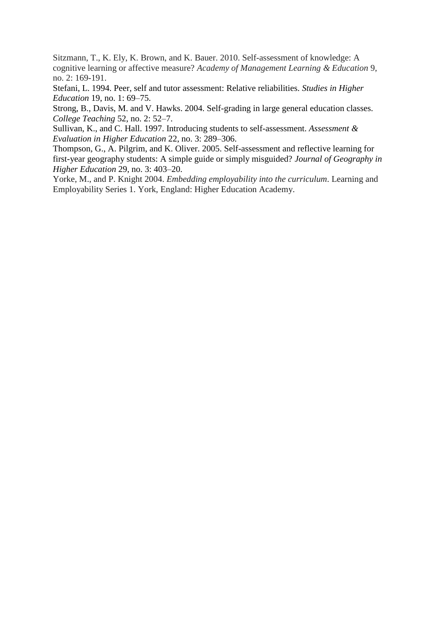Sitzmann, T., K. Ely, K. Brown, and K. Bauer. 2010. Self-assessment of knowledge: A cognitive learning or affective measure? *Academy of Management Learning & Education* 9, no. 2: 169-191.

Stefani, L. 1994. Peer, self and tutor assessment: Relative reliabilities. *Studies in Higher Education* 19, no. 1: 69–75.

Strong, B., Davis, M. and V. Hawks. 2004. Self-grading in large general education classes. *College Teaching* 52, no. 2: 52–7.

Sullivan, K., and C. Hall. 1997. Introducing students to self-assessment. *Assessment & Evaluation in Higher Education* 22, no. 3: 289–306.

Thompson, G., A. Pilgrim, and K. Oliver. 2005. Self-assessment and reflective learning for first-year geography students: A simple guide or simply misguided? *Journal of Geography in Higher Education* 29, no. 3: 403–20.

Yorke, M., and P. Knight 2004. *Embedding employability into the curriculum*. Learning and Employability Series 1. York, England: Higher Education Academy.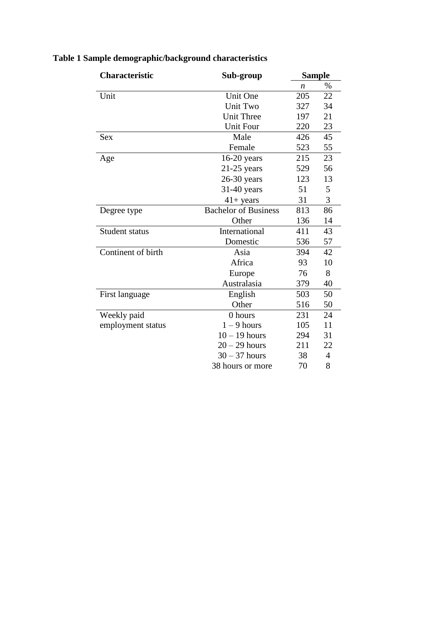| <b>Characteristic</b> | Sub-group                   | <b>Sample</b>    |    |  |
|-----------------------|-----------------------------|------------------|----|--|
|                       |                             | $\boldsymbol{n}$ | %  |  |
| Unit                  | Unit One                    | 205              | 22 |  |
|                       | Unit Two                    | 327              | 34 |  |
|                       | <b>Unit Three</b>           | 197              | 21 |  |
|                       | <b>Unit Four</b>            | 220              | 23 |  |
| Sex                   | Male                        | 426              | 45 |  |
|                       | Female                      | 523              | 55 |  |
| Age                   | $16-20$ years               | 215              | 23 |  |
|                       | $21-25$ years               | 529              | 56 |  |
|                       | $26-30$ years               | 123              | 13 |  |
|                       | $31-40$ years               | 51               | 5  |  |
|                       | $41 + years$                | 31               | 3  |  |
| Degree type           | <b>Bachelor of Business</b> | 813              | 86 |  |
|                       | Other                       | 136              | 14 |  |
| Student status        | International               | 411              | 43 |  |
|                       | Domestic                    | 536              | 57 |  |
| Continent of birth    | Asia                        | 394              | 42 |  |
|                       | Africa                      | 93               | 10 |  |
|                       | Europe                      | 76               | 8  |  |
|                       | Australasia                 | 379              | 40 |  |
| First language        | English                     | 503              | 50 |  |
|                       | Other                       | 516              | 50 |  |
| Weekly paid           | 0 hours                     | 231              | 24 |  |
| employment status     | $1 - 9$ hours               | 105              | 11 |  |
|                       | $10 - 19$ hours             | 294              | 31 |  |
|                       | $20 - 29$ hours             | 211              | 22 |  |
|                       | $30 - 37$ hours             | 38               | 4  |  |
|                       | 38 hours or more            | 70               | 8  |  |

## **Table 1 Sample demographic/background characteristics**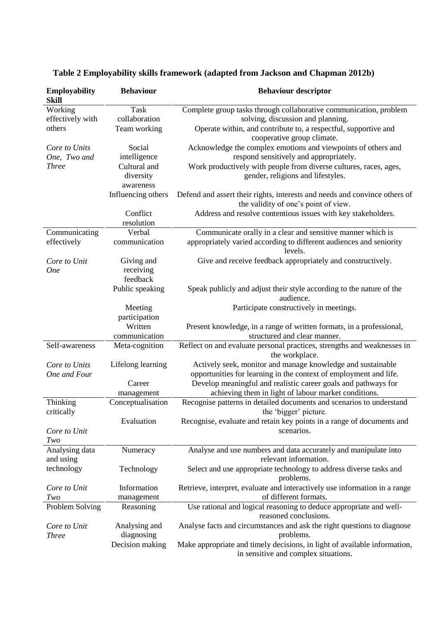| <b>Employability</b><br><b>Skill</b> | <b>Behaviour</b>        | <b>Behaviour descriptor</b>                                                                                        |  |
|--------------------------------------|-------------------------|--------------------------------------------------------------------------------------------------------------------|--|
| Working                              | <b>Task</b>             | Complete group tasks through collaborative communication, problem                                                  |  |
| effectively with                     | collaboration           | solving, discussion and planning.                                                                                  |  |
| others                               | Team working            | Operate within, and contribute to, a respectful, supportive and<br>cooperative group climate.                      |  |
| Core to Units                        | Social                  | Acknowledge the complex emotions and viewpoints of others and                                                      |  |
| One, Two and                         | intelligence            | respond sensitively and appropriately.                                                                             |  |
| <b>Three</b>                         | Cultural and            | Work productively with people from diverse cultures, races, ages,                                                  |  |
|                                      | diversity               | gender, religions and lifestyles.                                                                                  |  |
|                                      | awareness               |                                                                                                                    |  |
|                                      | Influencing others      | Defend and assert their rights, interests and needs and convince others of<br>the validity of one's point of view. |  |
|                                      | Conflict                | Address and resolve contentious issues with key stakeholders.                                                      |  |
|                                      | resolution              |                                                                                                                    |  |
| Communicating                        | Verbal                  | Communicate orally in a clear and sensitive manner which is                                                        |  |
| effectively                          | communication           | appropriately varied according to different audiences and seniority<br>levels.                                     |  |
| Core to Unit                         | Giving and              | Give and receive feedback appropriately and constructively.                                                        |  |
| <b>One</b>                           | receiving               |                                                                                                                    |  |
|                                      | feedback                |                                                                                                                    |  |
|                                      | Public speaking         | Speak publicly and adjust their style according to the nature of the<br>audience.                                  |  |
|                                      | Meeting                 | Participate constructively in meetings.                                                                            |  |
|                                      | participation           |                                                                                                                    |  |
|                                      | Written                 | Present knowledge, in a range of written formats, in a professional,                                               |  |
|                                      | communication           | structured and clear manner.                                                                                       |  |
| Self-awareness                       | Meta-cognition          | Reflect on and evaluate personal practices, strengths and weaknesses in<br>the workplace.                          |  |
| Core to Units                        | Lifelong learning       | Actively seek, monitor and manage knowledge and sustainable                                                        |  |
| One and Four                         |                         | opportunities for learning in the context of employment and life.                                                  |  |
|                                      | Career                  | Develop meaningful and realistic career goals and pathways for                                                     |  |
|                                      | management              | achieving them in light of labour market conditions.                                                               |  |
| Thinking<br>critically               | Conceptualisation       | Recognise patterns in detailed documents and scenarios to understand<br>the 'bigger' picture.                      |  |
|                                      | Evaluation              | Recognise, evaluate and retain key points in a range of documents and                                              |  |
| Core to Unit<br>Two                  |                         | scenarios.                                                                                                         |  |
| Analysing data                       | Numeracy                | Analyse and use numbers and data accurately and manipulate into                                                    |  |
| and using                            |                         | relevant information.                                                                                              |  |
| technology                           | Technology              | Select and use appropriate technology to address diverse tasks and<br>problems.                                    |  |
| Core to Unit                         | Information             | Retrieve, interpret, evaluate and interactively use information in a range                                         |  |
| Two                                  | management              | of different formats.                                                                                              |  |
| Problem Solving                      | Reasoning               | Use rational and logical reasoning to deduce appropriate and well-<br>reasoned conclusions.                        |  |
| Core to Unit                         | Analysing and           | Analyse facts and circumstances and ask the right questions to diagnose                                            |  |
| <b>Three</b>                         | diagnosing<br>problems. |                                                                                                                    |  |
|                                      | Decision making         | Make appropriate and timely decisions, in light of available information,<br>in sensitive and complex situations.  |  |

## **Table 2 Employability skills framework (adapted from Jackson and Chapman 2012b)**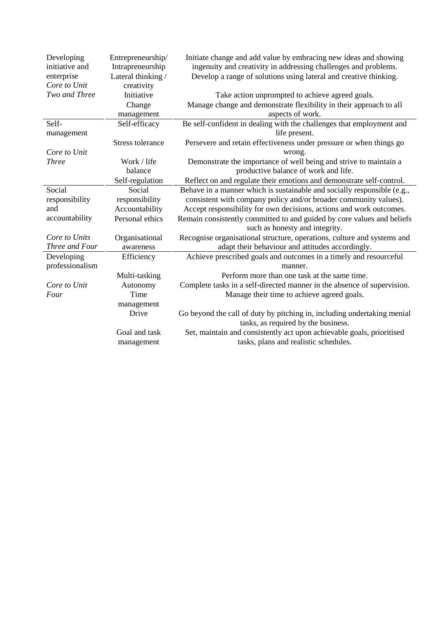| Developing<br>initiative and<br>enterprise | Entrepreneurship/<br>Intrapreneurship<br>Lateral thinking / | Initiate change and add value by embracing new ideas and showing<br>ingenuity and creativity in addressing challenges and problems.<br>Develop a range of solutions using lateral and creative thinking. |
|--------------------------------------------|-------------------------------------------------------------|----------------------------------------------------------------------------------------------------------------------------------------------------------------------------------------------------------|
| Core to Unit<br>Two and Three              | creativity<br>Initiative                                    | Take action unprompted to achieve agreed goals.                                                                                                                                                          |
|                                            |                                                             | Manage change and demonstrate flexibility in their approach to all                                                                                                                                       |
|                                            | Change<br>management                                        | aspects of work.                                                                                                                                                                                         |
| Self-                                      | Self-efficacy                                               | Be self-confident in dealing with the challenges that employment and                                                                                                                                     |
|                                            |                                                             | life present.                                                                                                                                                                                            |
| management                                 | Stress tolerance                                            |                                                                                                                                                                                                          |
| Core to Unit                               |                                                             | Persevere and retain effectiveness under pressure or when things go<br>wrong.                                                                                                                            |
| <b>Three</b>                               | Work / life                                                 | Demonstrate the importance of well being and strive to maintain a                                                                                                                                        |
|                                            | balance                                                     | productive balance of work and life.                                                                                                                                                                     |
|                                            | Self-regulation                                             | Reflect on and regulate their emotions and demonstrate self-control.                                                                                                                                     |
| Social                                     | Social                                                      | Behave in a manner which is sustainable and socially responsible (e.g.,                                                                                                                                  |
| responsibility                             | responsibility                                              | consistent with company policy and/or broader community values).                                                                                                                                         |
| and                                        | Accountability                                              | Accept responsibility for own decisions, actions and work outcomes.                                                                                                                                      |
| accountability                             | Personal ethics                                             | Remain consistently committed to and guided by core values and beliefs                                                                                                                                   |
|                                            |                                                             | such as honesty and integrity.                                                                                                                                                                           |
| Core to Units                              | Organisational                                              | Recognise organisational structure, operations, culture and systems and                                                                                                                                  |
| Three and Four                             | awareness                                                   | adapt their behaviour and attitudes accordingly.                                                                                                                                                         |
| Developing                                 | Efficiency                                                  | Achieve prescribed goals and outcomes in a timely and resourceful                                                                                                                                        |
| professionalism                            |                                                             | manner.                                                                                                                                                                                                  |
|                                            | Multi-tasking                                               | Perform more than one task at the same time.                                                                                                                                                             |
| Core to Unit                               | Autonomy                                                    | Complete tasks in a self-directed manner in the absence of supervision.                                                                                                                                  |
| Four                                       | Time                                                        | Manage their time to achieve agreed goals.                                                                                                                                                               |
|                                            | management                                                  |                                                                                                                                                                                                          |
|                                            | Drive                                                       | Go beyond the call of duty by pitching in, including undertaking menial                                                                                                                                  |
|                                            |                                                             | tasks, as required by the business.                                                                                                                                                                      |
|                                            | Goal and task                                               | Set, maintain and consistently act upon achievable goals, prioritised                                                                                                                                    |
|                                            | management                                                  | tasks, plans and realistic schedules.                                                                                                                                                                    |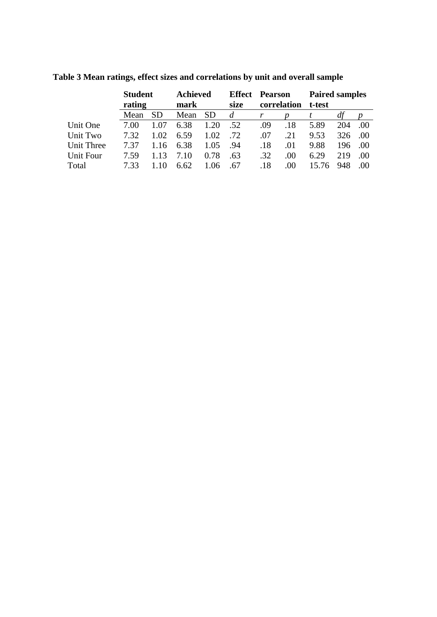|            | <b>Student</b><br>rating |           | <b>Achieved</b><br>mark |           | <b>Effect</b> Pearson |             |     | <b>Paired samples</b> |     |     |  |
|------------|--------------------------|-----------|-------------------------|-----------|-----------------------|-------------|-----|-----------------------|-----|-----|--|
|            |                          |           |                         |           | size                  | correlation |     | t-test                |     |     |  |
|            | Mean                     | <b>SD</b> | Mean                    | <b>SD</b> | $\mathfrak{a}$        |             |     |                       | at  |     |  |
| Unit One   | 7.00                     | 1.07      | 6.38                    | 1.20      | .52                   | .09         | .18 | 5.89                  | 204 | .00 |  |
| Unit Two   | 7.32                     | 1.02      | 6.59                    | 1.02      | .72                   | .07         | .21 | 9.53                  | 326 | .00 |  |
| Unit Three | 7.37                     | 1.16      | 6.38                    | 1.05      | .94                   | .18         | .01 | 9.88                  | 196 | .00 |  |
| Unit Four  | 7.59                     | 1.13      | 7.10                    | 0.78      | .63                   | .32         | .00 | 6.29                  | 219 | .00 |  |
| Total      | 7.33                     |           | 6.62                    | 1.06      | .67                   | .18         | .00 | 15.76                 | 948 |     |  |

**Table 3 Mean ratings, effect sizes and correlations by unit and overall sample**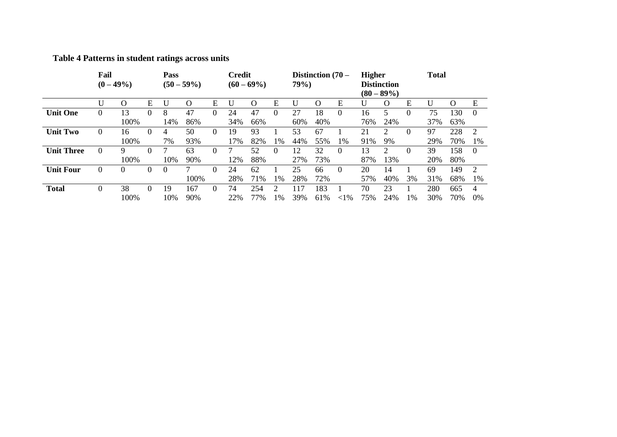### **Table 4 Patterns in student ratings across units**

|                   | Fail<br>$(0 - 49\%)$ |          | Pass<br>$(50 - 59\%)$ |          |      | <b>Credit</b><br>$(60 - 69\%)$ |     |     | Distinction $(70 -$<br>79%) |     |          | <b>Higher</b><br><b>Distinction</b><br>$(80 - 89\%)$ |     | <b>Total</b>                |          |     |                   |          |
|-------------------|----------------------|----------|-----------------------|----------|------|--------------------------------|-----|-----|-----------------------------|-----|----------|------------------------------------------------------|-----|-----------------------------|----------|-----|-------------------|----------|
|                   | U                    | $\Omega$ | Е                     | U        | O    | Е                              |     | ( ) | Е                           | U   | $\Omega$ | Ε                                                    |     | $\Omega$                    | Ε        |     | $\mathbf{\Omega}$ | E        |
| <b>Unit One</b>   | 0                    | 13       | $\Omega$              | 8        | 47   | 0                              | 24  | 47  | $\Omega$                    | 27  | 18       | $\theta$                                             | 16  | 5                           | $\Omega$ | 75  | 130               | $\theta$ |
|                   |                      | 100%     |                       | 14%      | 86%  |                                | 34% | 66% |                             | 60% | 40%      |                                                      | 76% | 24%                         |          | 37% | 63%               |          |
| <b>Unit Two</b>   | $\theta$             | 16       | $\theta$              | 4        | 50   | $\Omega$                       | 19  | 93  |                             | 53  | 67       |                                                      | 21  | $\mathcal{D}_{\mathcal{L}}$ | 0        | 97  | 228               | 2        |
|                   |                      | 100%     |                       | 7%       | 93%  |                                | 17% | 82% | 1%                          | 44% | 55%      | 1%                                                   | 91% | 9%                          |          | 29% | 70%               | 1%       |
| <b>Unit Three</b> | $\Omega$             | 9        | $\Omega$              |          | 63   | $\Omega$                       |     | 52  | $\Omega$                    | 12  | 32       | $\theta$                                             | 13  | 2                           | $\Omega$ | 39  | 158               | $\Omega$ |
|                   |                      | 100%     |                       | 10%      | 90%  |                                | 12% | 88% |                             | 27% | 73%      |                                                      | 87% | 13%                         |          | 20% | 80%               |          |
| <b>Unit Four</b>  | $\overline{0}$       | $\theta$ | $\theta$              | $\theta$ |      | $\Omega$                       | 24  | 62  |                             | 25  | 66       | $\theta$                                             | 20  | 14                          |          | 69  | 149               | 2        |
|                   |                      |          |                       |          | 100% |                                | 28% | 71% | 1%                          | 28% | 72%      |                                                      | 57% | 40%                         | 3%       | 31% | 68%               | 1%       |
| <b>Total</b>      | 0                    | 38       | $\Omega$              | 19       | 167  | $\Omega$                       | 74  | 254 |                             | 117 | 183      |                                                      | 70  | 23                          |          | 280 | 665               | 4        |
|                   |                      | 100%     |                       | 10%      | 90%  |                                | 22% | 77% | $1\%$                       | 39% | 61%      | ${<}1\%$                                             | 75% | 24%                         | $1\%$    | 30% | 70%               | 0%       |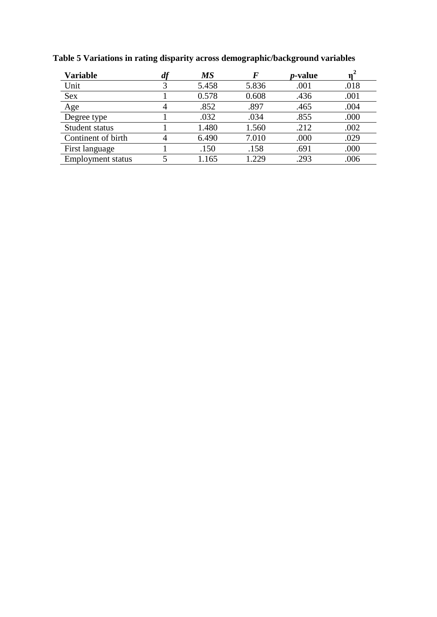| <b>Variable</b>          | $\boldsymbol{u}$ | <b>MS</b> | F     | <i>p</i> -value |      |
|--------------------------|------------------|-----------|-------|-----------------|------|
| Unit                     |                  | 5.458     | 5.836 | .001            | .018 |
| <b>Sex</b>               |                  | 0.578     | 0.608 | .436            | .001 |
| Age                      |                  | .852      | .897  | .465            | .004 |
| Degree type              |                  | .032      | .034  | .855            | .000 |
| Student status           |                  | 1.480     | 1.560 | .212            | .002 |
| Continent of birth       |                  | 6.490     | 7.010 | .000            | .029 |
| First language           |                  | .150      | .158  | .691            | .000 |
| <b>Employment status</b> |                  | 1.165     | 1.229 | .293            | .006 |

**Table 5 Variations in rating disparity across demographic/background variables**